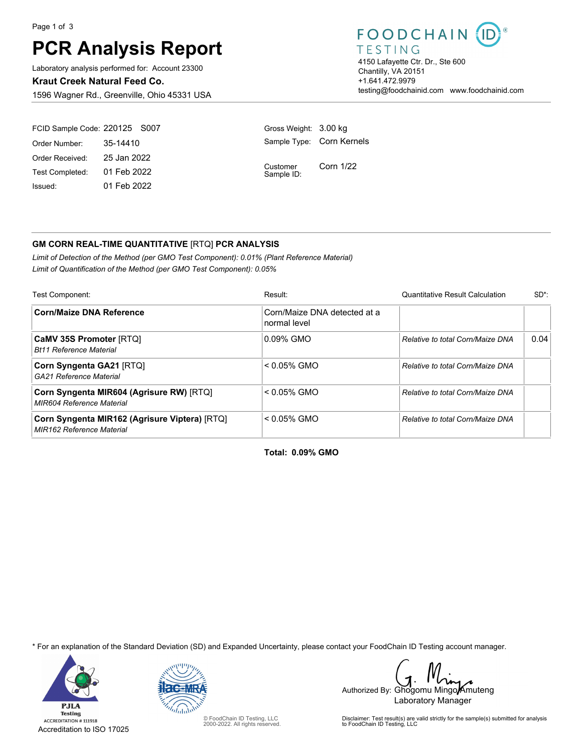Page 1 of 3

# **PCR Analysis Report**

Laboratory analysis performed for: Account 23300

**Kraut Creek Natural Feed Co.**

1596 Wagner Rd., Greenville, Ohio 45331 USA

### FOODCHAIN

TESTING 4150 Lafayette Ctr. Dr., Ste 600 Chantilly, VA 20151 +1.641.472.9979 testing@foodchainid.com www.foodchainid.com

| FCID Sample Code: 220125 S007 |             | Gross Weight: 3.00 kg     |           |
|-------------------------------|-------------|---------------------------|-----------|
| Order Number:                 | 35-14410    | Sample Type: Corn Kernels |           |
| Order Received:               | 25 Jan 2022 | Customer<br>Sample ID:    | Corn 1/22 |
| Test Completed:               | 01 Feb 2022 |                           |           |
| Issued:                       | 01 Feb 2022 |                           |           |

### **GM CORN REAL-TIME QUANTITATIVE** [RTQ] **PCR ANALYSIS**

*Limit of Detection of the Method (per GMO Test Component): 0.01% (Plant Reference Material) Limit of Quantification of the Method (per GMO Test Component): 0.05%*

| Test Component:                                                                   | Result:                                      | <b>Quantitative Result Calculation</b> | $SD^*$ |
|-----------------------------------------------------------------------------------|----------------------------------------------|----------------------------------------|--------|
| <b>Corn/Maize DNA Reference</b>                                                   | Corn/Maize DNA detected at a<br>normal level |                                        |        |
| <b>CaMV 35S Promoter [RTQ]</b><br><b>Bt11 Reference Material</b>                  | 0.09% GMO                                    | Relative to total Corn/Maize DNA       | 0.04   |
| Corn Syngenta GA21 [RTQ]<br>GA21 Reference Material                               | $< 0.05\%$ GMO                               | Relative to total Corn/Maize DNA       |        |
| Corn Syngenta MIR604 (Agrisure RW) [RTQ]<br><b>MIR604 Reference Material</b>      | $< 0.05\%$ GMO                               | Relative to total Corn/Maize DNA       |        |
| Corn Syngenta MIR162 (Agrisure Viptera) [RTQ]<br><b>MIR162 Reference Material</b> | $< 0.05\%$ GMO                               | Relative to total Corn/Maize DNA       |        |

**Total: 0.09% GMO**

\* For an explanation of the Standard Deviation (SD) and Expanded Uncertainty, please contact your FoodChain ID Testing account manager.





© FoodChain ID Testing, LLC 2000-2022. All rights reserved.

Authorized By: Ghogomu Mingo Amuteng Laboratory Manager

Disclaimer: Test result(s) are valid strictly for the sample(s) submitted for analysis to FoodChain ID Testing, LLC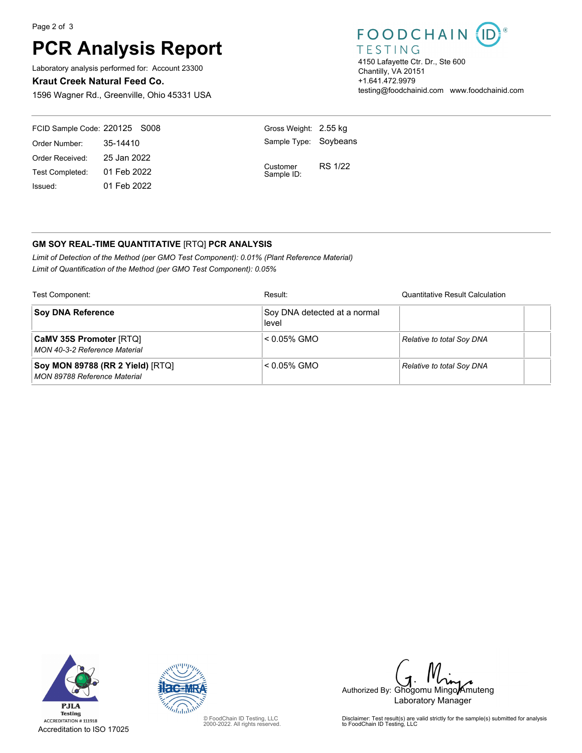Page 2 of 3

# **PCR Analysis Report**

Laboratory analysis performed for: Account 23300

#### **Kraut Creek Natural Feed Co.**

1596 Wagner Rd., Greenville, Ohio 45331 USA

## FOODCHAIN

**TESTING** 4150 Lafayette Ctr. Dr., Ste 600 Chantilly, VA 20151 +1.641.472.9979 testing@foodchainid.com www.foodchainid.com

| FCID Sample Code: 220125 S008 |             | Gross Weight: 2.55 kg  |                |
|-------------------------------|-------------|------------------------|----------------|
| Order Number:                 | 35-14410    | Sample Type: Soybeans  |                |
| Order Received:               | 25 Jan 2022 |                        |                |
| Test Completed: 01 Feb 2022   |             | Customer<br>Sample ID: | <b>RS 1/22</b> |
| Issued:                       | 01 Feb 2022 |                        |                |

### **GM SOY REAL-TIME QUANTITATIVE** [RTQ] **PCR ANALYSIS**

*Limit of Detection of the Method (per GMO Test Component): 0.01% (Plant Reference Material) Limit of Quantification of the Method (per GMO Test Component): 0.05%*

| Test Component:                                                         | Result:                               | <b>Quantitative Result Calculation</b> |
|-------------------------------------------------------------------------|---------------------------------------|----------------------------------------|
| <b>Soy DNA Reference</b>                                                | Soy DNA detected at a normal<br>level |                                        |
| <b>CaMV 35S Promoter [RTQ]</b><br>MON 40-3-2 Reference Material         | $< 0.05\%$ GMO                        | <b>Relative to total Soy DNA</b>       |
| Soy MON 89788 (RR 2 Yield) [RTQ]<br><b>MON 89788 Reference Material</b> | $< 0.05\%$ GMO                        | <b>Relative to total Soy DNA</b>       |





© FoodChain ID Testing, LLC 2000-2022. All rights reserved.

Authorized By: Ghogomu Mingo Amuteng Laboratory Manager

Disclaimer: Test result(s) are valid strictly for the sample(s) submitted for analysis to FoodChain ID Testing, LLC